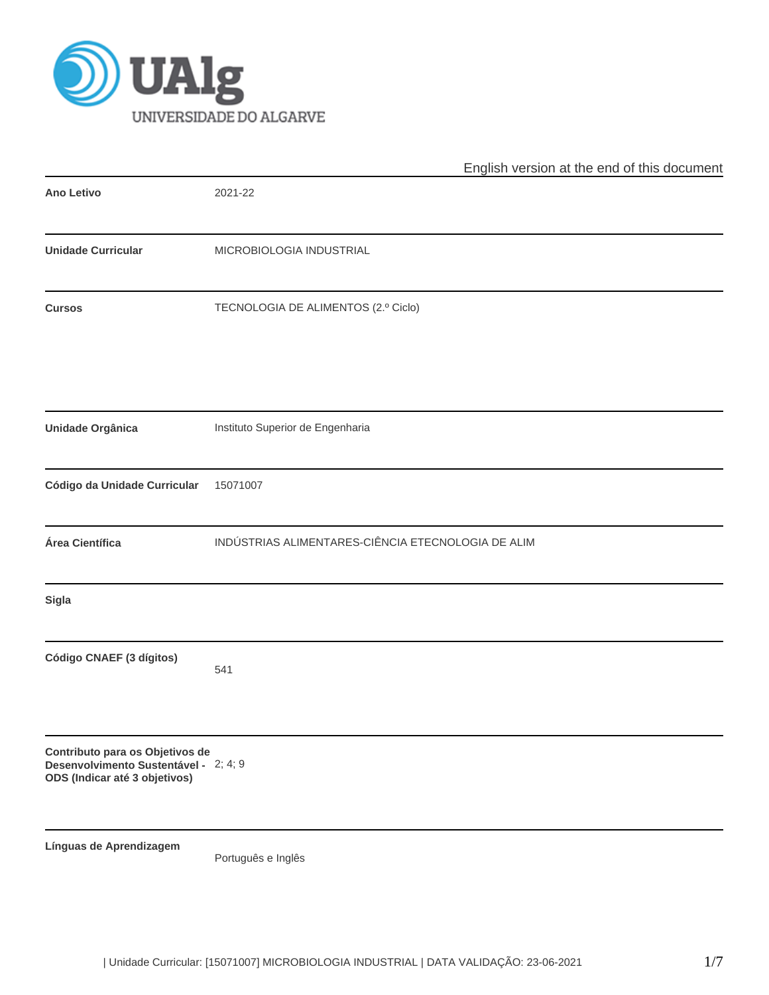

|                                                                                                           | English version at the end of this document        |
|-----------------------------------------------------------------------------------------------------------|----------------------------------------------------|
| <b>Ano Letivo</b>                                                                                         | 2021-22                                            |
| <b>Unidade Curricular</b>                                                                                 | MICROBIOLOGIA INDUSTRIAL                           |
| <b>Cursos</b>                                                                                             | TECNOLOGIA DE ALIMENTOS (2.º Ciclo)                |
| <b>Unidade Orgânica</b>                                                                                   | Instituto Superior de Engenharia                   |
| Código da Unidade Curricular                                                                              | 15071007                                           |
| Área Científica                                                                                           | INDÚSTRIAS ALIMENTARES-CIÊNCIA ETECNOLOGIA DE ALIM |
| Sigla                                                                                                     |                                                    |
| Código CNAEF (3 dígitos)                                                                                  | 541                                                |
| Contributo para os Objetivos de<br>Desenvolvimento Sustentável - 2; 4; 9<br>ODS (Indicar até 3 objetivos) |                                                    |
| Línguas de Aprendizagem                                                                                   | Português e Inglês                                 |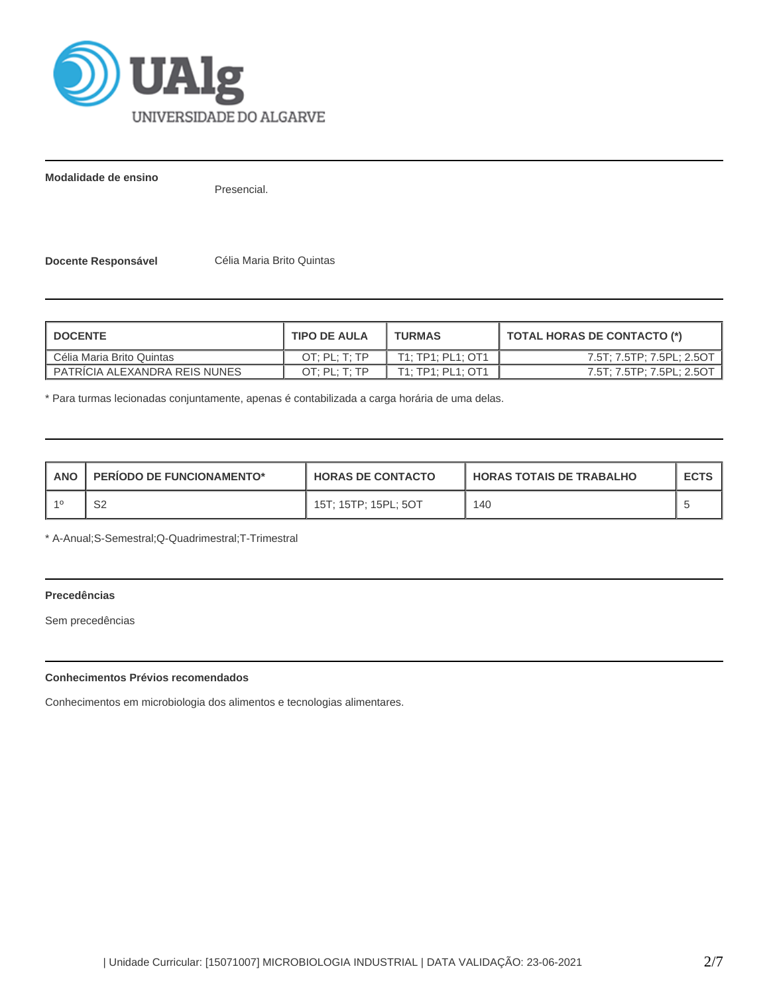

**Modalidade de ensino**

Presencial.

**Docente Responsável Célia Maria Brito Quintas** 

| <b>DOCENTE</b>                | <b>TIPO DE AULA</b> | <b>TURMAS</b>     | <b>TOTAL HORAS DE CONTACTO (*)</b> |
|-------------------------------|---------------------|-------------------|------------------------------------|
| Célia Maria Brito Quintas     | OT: PL: T: TP       | T1: TP1: PL1: OT1 | 7.5T; 7.5TP; 7.5PL; 2.5OT          |
| PATRICIA ALEXANDRA REIS NUNES | OT: PL: T: TP       | T1: TP1: PL1: OT1 | 7.5T; 7.5TP; 7.5PL; 2.5OT          |

\* Para turmas lecionadas conjuntamente, apenas é contabilizada a carga horária de uma delas.

| ANO | <b>PERIODO DE FUNCIONAMENTO*</b> | <b>HORAS DE CONTACTO</b> | <b>HORAS TOTAIS DE TRABALHO</b> | <b>ECTS</b> |
|-----|----------------------------------|--------------------------|---------------------------------|-------------|
|     | ےت                               | 15T: 15TP: 15PL: 5OT     | 140                             |             |

\* A-Anual;S-Semestral;Q-Quadrimestral;T-Trimestral

# **Precedências**

Sem precedências

# **Conhecimentos Prévios recomendados**

Conhecimentos em microbiologia dos alimentos e tecnologias alimentares.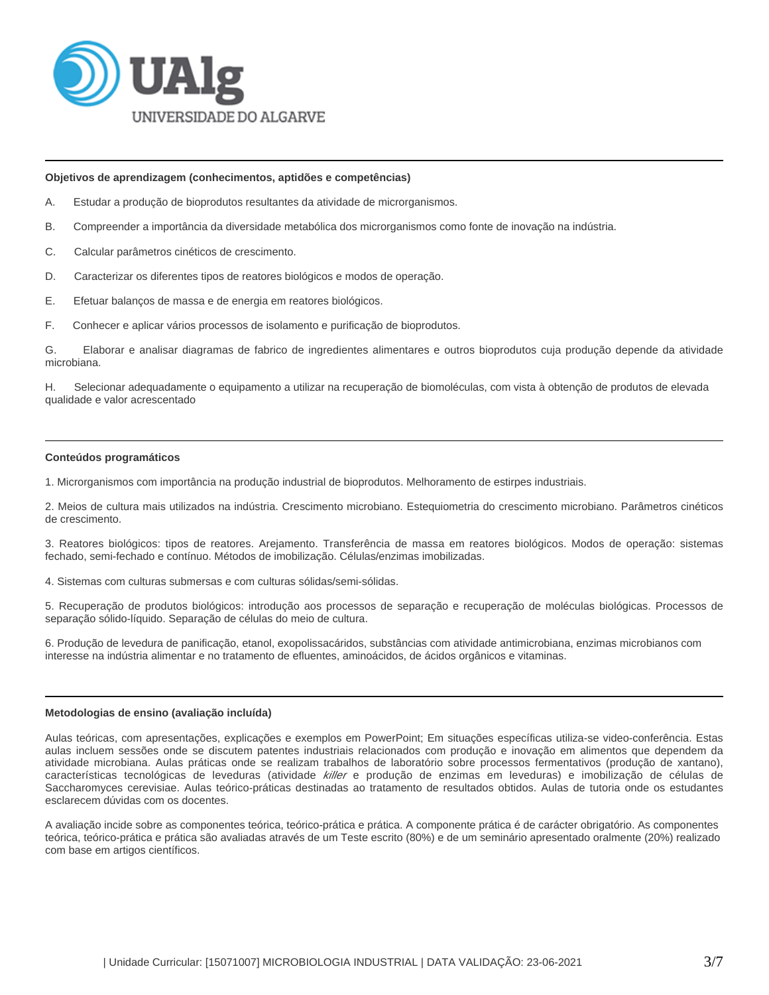

#### **Objetivos de aprendizagem (conhecimentos, aptidões e competências)**

- A. Estudar a produção de bioprodutos resultantes da atividade de microrganismos.
- B. Compreender a importância da diversidade metabólica dos microrganismos como fonte de inovação na indústria.
- C. Calcular parâmetros cinéticos de crescimento.
- D. Caracterizar os diferentes tipos de reatores biológicos e modos de operação.
- E. Efetuar balanços de massa e de energia em reatores biológicos.
- F. Conhecer e aplicar vários processos de isolamento e purificação de bioprodutos.

G. Elaborar e analisar diagramas de fabrico de ingredientes alimentares e outros bioprodutos cuja produção depende da atividade microbiana.

H. Selecionar adequadamente o equipamento a utilizar na recuperação de biomoléculas, com vista à obtenção de produtos de elevada qualidade e valor acrescentado

# **Conteúdos programáticos**

1. Microrganismos com importância na produção industrial de bioprodutos. Melhoramento de estirpes industriais.

2. Meios de cultura mais utilizados na indústria. Crescimento microbiano. Estequiometria do crescimento microbiano. Parâmetros cinéticos de crescimento.

3. Reatores biológicos: tipos de reatores. Arejamento. Transferência de massa em reatores biológicos. Modos de operação: sistemas fechado, semi-fechado e contínuo. Métodos de imobilização. Células/enzimas imobilizadas.

4. Sistemas com culturas submersas e com culturas sólidas/semi-sólidas.

5. Recuperação de produtos biológicos: introdução aos processos de separação e recuperação de moléculas biológicas. Processos de separação sólido-líquido. Separação de células do meio de cultura.

6. Produção de levedura de panificação, etanol, exopolissacáridos, substâncias com atividade antimicrobiana, enzimas microbianos com interesse na indústria alimentar e no tratamento de efluentes, aminoácidos, de ácidos orgânicos e vitaminas.

#### **Metodologias de ensino (avaliação incluída)**

Aulas teóricas, com apresentações, explicações e exemplos em PowerPoint; Em situações específicas utiliza-se video-conferência. Estas aulas incluem sessões onde se discutem patentes industriais relacionados com produção e inovação em alimentos que dependem da atividade microbiana. Aulas práticas onde se realizam trabalhos de laboratório sobre processos fermentativos (produção de xantano), características tecnológicas de leveduras (atividade killer e produção de enzimas em leveduras) e imobilização de células de Saccharomyces cerevisiae. Aulas teórico-práticas destinadas ao tratamento de resultados obtidos. Aulas de tutoria onde os estudantes esclarecem dúvidas com os docentes.

A avaliação incide sobre as componentes teórica, teórico-prática e prática. A componente prática é de carácter obrigatório. As componentes teórica, teórico-prática e prática são avaliadas através de um Teste escrito (80%) e de um seminário apresentado oralmente (20%) realizado com base em artigos científicos.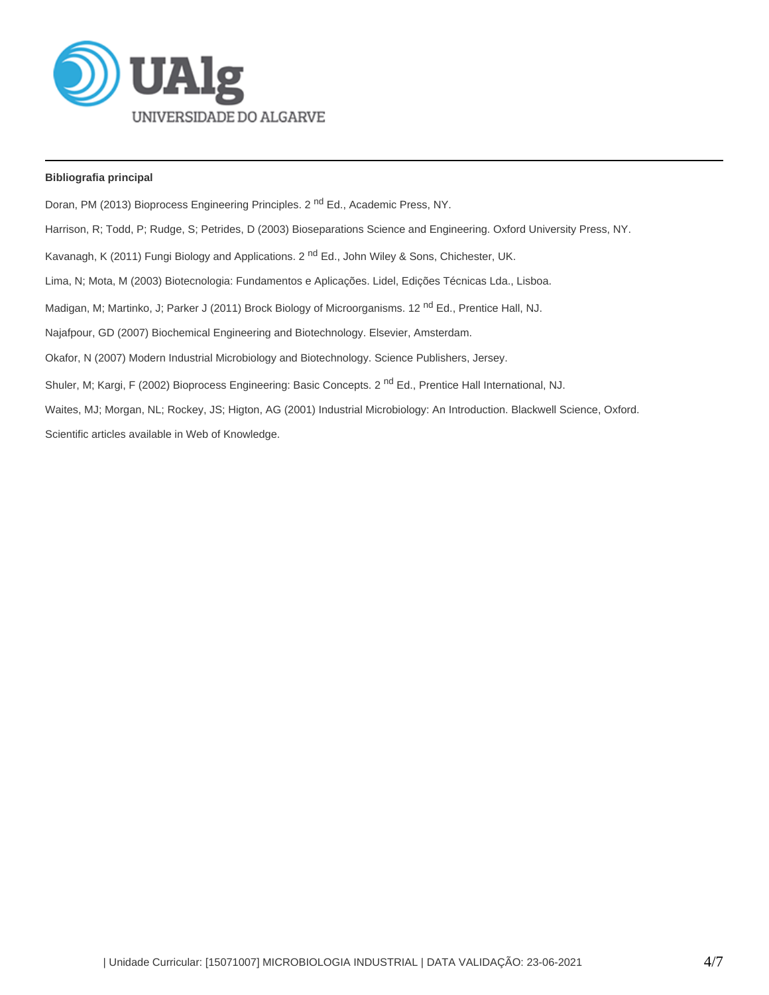

# **Bibliografia principal**

Doran, PM (2013) Bioprocess Engineering Principles. 2<sup>nd</sup> Ed., Academic Press, NY. Harrison, R; Todd, P; Rudge, S; Petrides, D (2003) Bioseparations Science and Engineering. Oxford University Press, NY. Kavanagh, K (2011) Fungi Biology and Applications. 2<sup>nd</sup> Ed., John Wiley & Sons, Chichester, UK. Lima, N; Mota, M (2003) Biotecnologia: Fundamentos e Aplicações. Lidel, Edições Técnicas Lda., Lisboa. Madigan, M; Martinko, J; Parker J (2011) Brock Biology of Microorganisms. 12<sup>nd</sup> Ed., Prentice Hall, NJ. Najafpour, GD (2007) Biochemical Engineering and Biotechnology. Elsevier, Amsterdam. Okafor, N (2007) Modern Industrial Microbiology and Biotechnology. Science Publishers, Jersey. Shuler, M; Kargi, F (2002) Bioprocess Engineering: Basic Concepts. 2<sup>nd</sup> Ed., Prentice Hall International, NJ. Waites, MJ; Morgan, NL; Rockey, JS; Higton, AG (2001) Industrial Microbiology: An Introduction. Blackwell Science, Oxford. Scientific articles available in Web of Knowledge.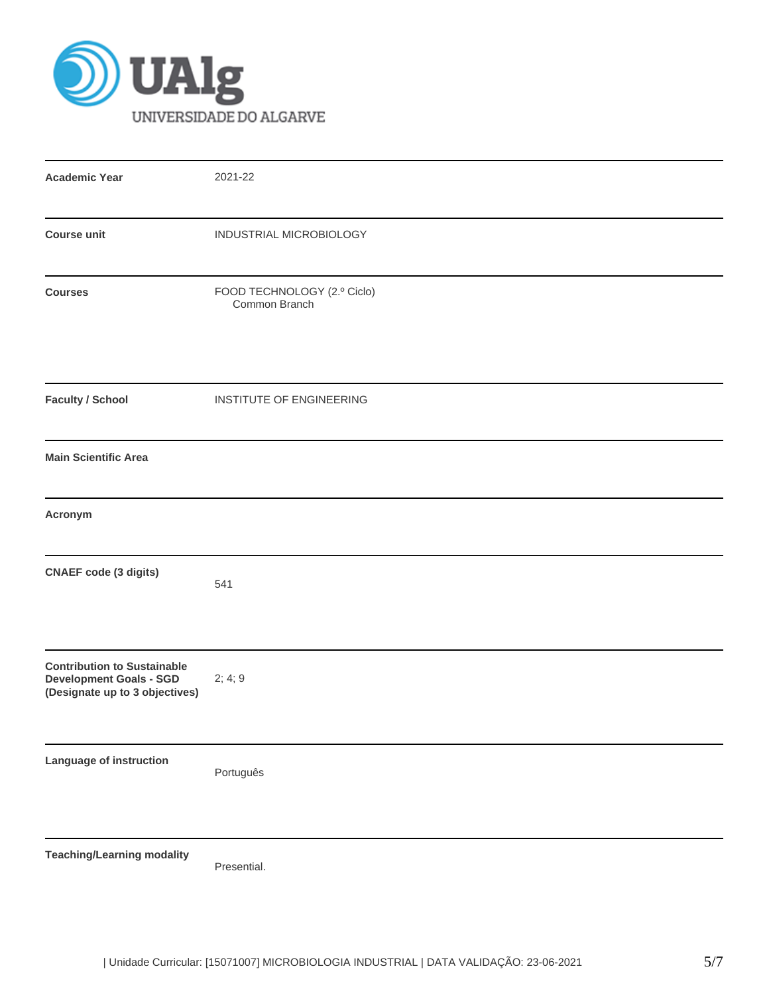

| <b>Academic Year</b>                                                                                   | 2021-22                                      |
|--------------------------------------------------------------------------------------------------------|----------------------------------------------|
| <b>Course unit</b>                                                                                     | INDUSTRIAL MICROBIOLOGY                      |
| <b>Courses</b>                                                                                         | FOOD TECHNOLOGY (2.º Ciclo)<br>Common Branch |
| <b>Faculty / School</b>                                                                                | INSTITUTE OF ENGINEERING                     |
| <b>Main Scientific Area</b>                                                                            |                                              |
| Acronym                                                                                                |                                              |
| <b>CNAEF</b> code (3 digits)                                                                           | 541                                          |
| <b>Contribution to Sustainable</b><br><b>Development Goals - SGD</b><br>(Designate up to 3 objectives) | 2; 4; 9                                      |
| Language of instruction                                                                                | Português                                    |
| <b>Teaching/Learning modality</b>                                                                      | Presential.                                  |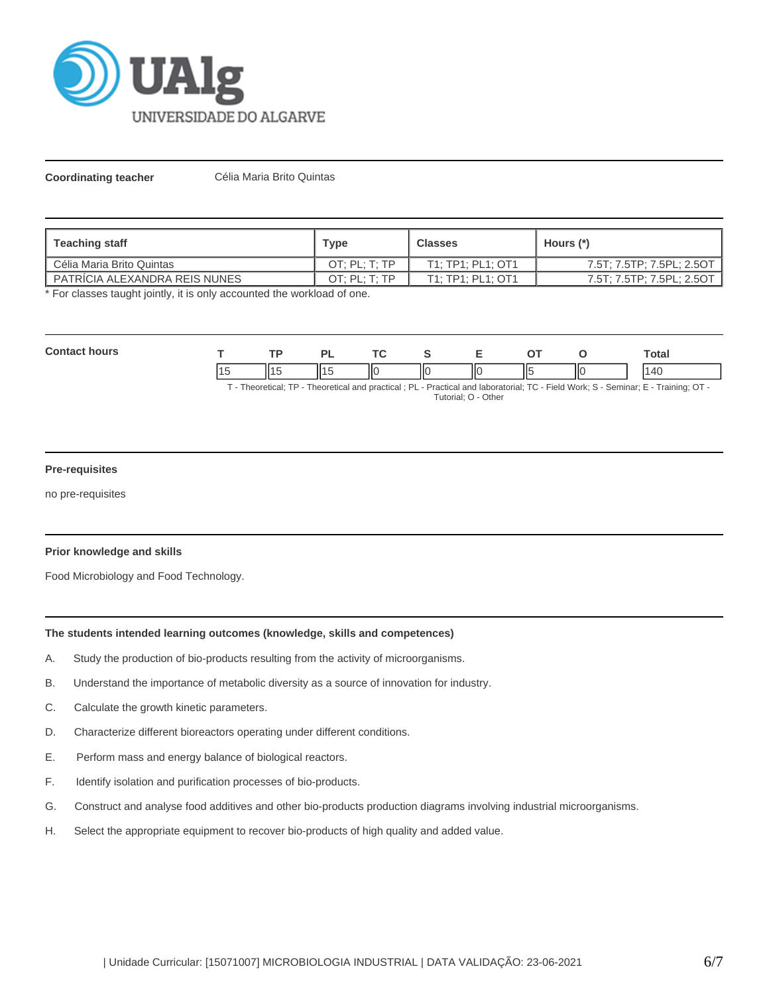

**Coordinating teacher** Célia Maria Brito Quintas

| Teaching staff                  | Type          | <b>Classes</b>    | Hours (*)                 |
|---------------------------------|---------------|-------------------|---------------------------|
| Célia Maria Brito Quintas       | OT: PL: T: TP | T1: TP1: PL1: OT1 | 7.5T; 7.5TP; 7.5PL; 2.5OT |
| I PATRICIA ALEXANDRA REIS NUNES | OT: PL: T: TP | T1: TP1: PL1: OT1 | 7.5T; 7.5TP; 7.5PL; 2.5OT |

\* For classes taught jointly, it is only accounted the workload of one.

| Con<br>hours |     | ים | -- |   | -   |             |    | `otal                      |
|--------------|-----|----|----|---|-----|-------------|----|----------------------------|
|              | ll1 |    | НΟ | Ш | ll( | $\parallel$ | IЮ | $\overline{ }$<br>$\Delta$ |

T - Theoretical; TP - Theoretical and practical ; PL - Practical and laboratorial; TC - Field Work; S - Seminar; E - Training; OT - Tutorial; O - Other

# **Pre-requisites**

no pre-requisites

# **Prior knowledge and skills**

Food Microbiology and Food Technology.

# **The students intended learning outcomes (knowledge, skills and competences)**

- A. Study the production of bio-products resulting from the activity of microorganisms.
- B. Understand the importance of metabolic diversity as a source of innovation for industry.
- C. Calculate the growth kinetic parameters.
- D. Characterize different bioreactors operating under different conditions.
- E. Perform mass and energy balance of biological reactors.
- F. Identify isolation and purification processes of bio-products.
- G. Construct and analyse food additives and other bio-products production diagrams involving industrial microorganisms.
- H. Select the appropriate equipment to recover bio-products of high quality and added value.